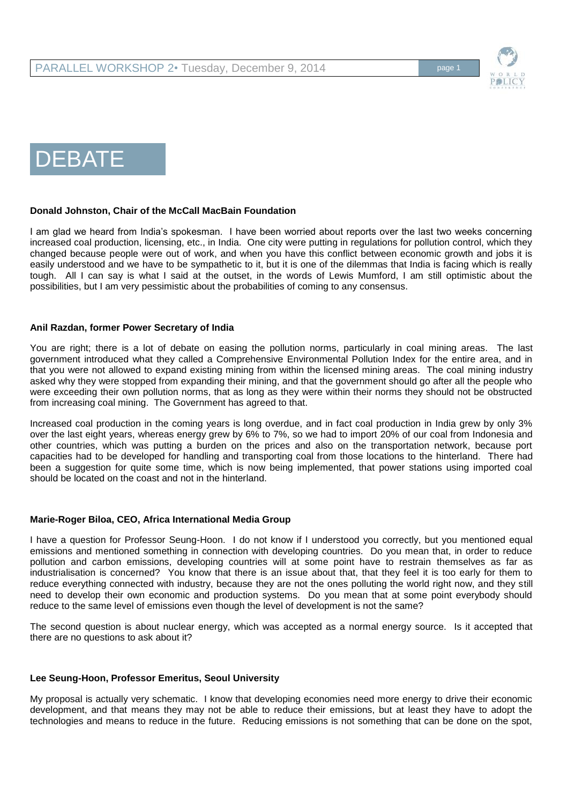

# DEBATE

### **Donald Johnston, Chair of the McCall MacBain Foundation**

I am glad we heard from India's spokesman. I have been worried about reports over the last two weeks concerning increased coal production, licensing, etc., in India. One city were putting in regulations for pollution control, which they changed because people were out of work, and when you have this conflict between economic growth and jobs it is easily understood and we have to be sympathetic to it, but it is one of the dilemmas that India is facing which is really tough. All I can say is what I said at the outset, in the words of Lewis Mumford, I am still optimistic about the possibilities, but I am very pessimistic about the probabilities of coming to any consensus.

### **Anil Razdan, former Power Secretary of India**

You are right; there is a lot of debate on easing the pollution norms, particularly in coal mining areas. The last government introduced what they called a Comprehensive Environmental Pollution Index for the entire area, and in that you were not allowed to expand existing mining from within the licensed mining areas. The coal mining industry asked why they were stopped from expanding their mining, and that the government should go after all the people who were exceeding their own pollution norms, that as long as they were within their norms they should not be obstructed from increasing coal mining. The Government has agreed to that.

Increased coal production in the coming years is long overdue, and in fact coal production in India grew by only 3% over the last eight years, whereas energy grew by 6% to 7%, so we had to import 20% of our coal from Indonesia and other countries, which was putting a burden on the prices and also on the transportation network, because port capacities had to be developed for handling and transporting coal from those locations to the hinterland. There had been a suggestion for quite some time, which is now being implemented, that power stations using imported coal should be located on the coast and not in the hinterland.

#### **Marie-Roger Biloa, CEO, Africa International Media Group**

I have a question for Professor Seung-Hoon. I do not know if I understood you correctly, but you mentioned equal emissions and mentioned something in connection with developing countries. Do you mean that, in order to reduce pollution and carbon emissions, developing countries will at some point have to restrain themselves as far as industrialisation is concerned? You know that there is an issue about that, that they feel it is too early for them to reduce everything connected with industry, because they are not the ones polluting the world right now, and they still need to develop their own economic and production systems. Do you mean that at some point everybody should reduce to the same level of emissions even though the level of development is not the same?

The second question is about nuclear energy, which was accepted as a normal energy source. Is it accepted that there are no questions to ask about it?

#### **Lee Seung-Hoon, Professor Emeritus, Seoul University**

My proposal is actually very schematic. I know that developing economies need more energy to drive their economic development, and that means they may not be able to reduce their emissions, but at least they have to adopt the technologies and means to reduce in the future. Reducing emissions is not something that can be done on the spot,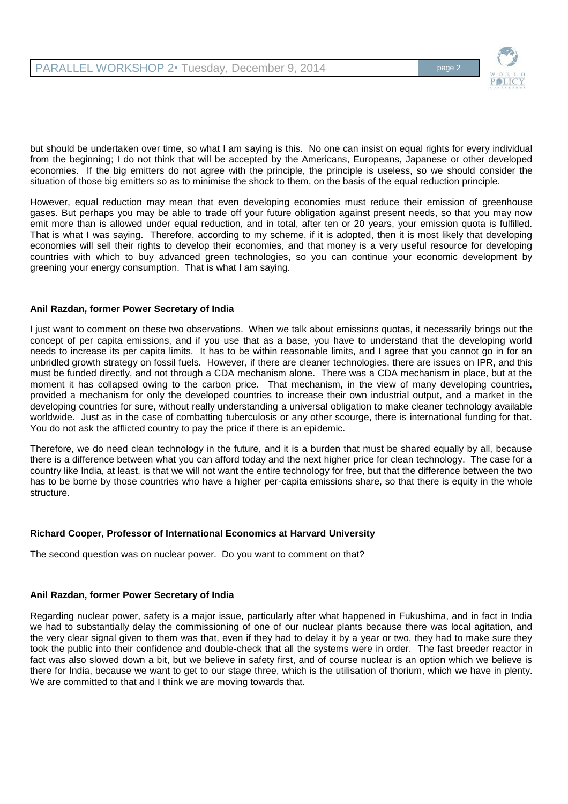

but should be undertaken over time, so what I am saying is this. No one can insist on equal rights for every individual from the beginning; I do not think that will be accepted by the Americans, Europeans, Japanese or other developed economies. If the big emitters do not agree with the principle, the principle is useless, so we should consider the situation of those big emitters so as to minimise the shock to them, on the basis of the equal reduction principle.

However, equal reduction may mean that even developing economies must reduce their emission of greenhouse gases. But perhaps you may be able to trade off your future obligation against present needs, so that you may now emit more than is allowed under equal reduction, and in total, after ten or 20 years, your emission quota is fulfilled. That is what I was saying. Therefore, according to my scheme, if it is adopted, then it is most likely that developing economies will sell their rights to develop their economies, and that money is a very useful resource for developing countries with which to buy advanced green technologies, so you can continue your economic development by greening your energy consumption. That is what I am saying.

### **Anil Razdan, former Power Secretary of India**

I just want to comment on these two observations. When we talk about emissions quotas, it necessarily brings out the concept of per capita emissions, and if you use that as a base, you have to understand that the developing world needs to increase its per capita limits. It has to be within reasonable limits, and I agree that you cannot go in for an unbridled growth strategy on fossil fuels. However, if there are cleaner technologies, there are issues on IPR, and this must be funded directly, and not through a CDA mechanism alone. There was a CDA mechanism in place, but at the moment it has collapsed owing to the carbon price. That mechanism, in the view of many developing countries, provided a mechanism for only the developed countries to increase their own industrial output, and a market in the developing countries for sure, without really understanding a universal obligation to make cleaner technology available worldwide. Just as in the case of combatting tuberculosis or any other scourge, there is international funding for that. You do not ask the afflicted country to pay the price if there is an epidemic.

Therefore, we do need clean technology in the future, and it is a burden that must be shared equally by all, because there is a difference between what you can afford today and the next higher price for clean technology. The case for a country like India, at least, is that we will not want the entire technology for free, but that the difference between the two has to be borne by those countries who have a higher per-capita emissions share, so that there is equity in the whole structure.

#### **Richard Cooper, Professor of International Economics at Harvard University**

The second question was on nuclear power. Do you want to comment on that?

## **Anil Razdan, former Power Secretary of India**

Regarding nuclear power, safety is a major issue, particularly after what happened in Fukushima, and in fact in India we had to substantially delay the commissioning of one of our nuclear plants because there was local agitation, and the very clear signal given to them was that, even if they had to delay it by a year or two, they had to make sure they took the public into their confidence and double-check that all the systems were in order. The fast breeder reactor in fact was also slowed down a bit, but we believe in safety first, and of course nuclear is an option which we believe is there for India, because we want to get to our stage three, which is the utilisation of thorium, which we have in plenty. We are committed to that and I think we are moving towards that.